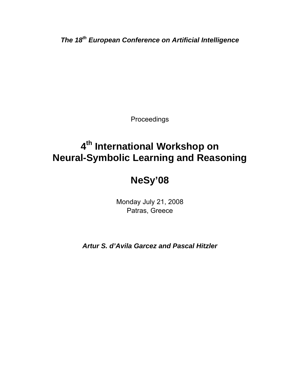*The 18th European Conference on Artificial Intelligence* 

Proceedings

# **4th International Workshop on Neural-Symbolic Learning and Reasoning**

## **NeSy'08**

Monday July 21, 2008 Patras, Greece

*Artur S. d'Avila Garcez and Pascal Hitzler*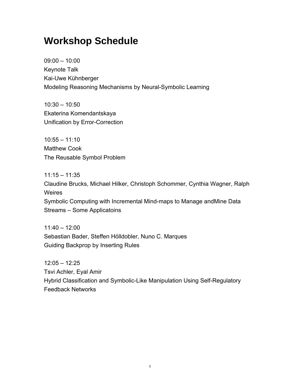### **Workshop Schedule**

09:00 – 10:00 Keynote Talk Kai-Uwe Kühnberger Modeling Reasoning Mechanisms by Neural-Symbolic Learning

10:30 – 10:50 Ekaterina Komendantskaya Unification by Error-Correction

10:55 – 11:10 Matthew Cook The Reusable Symbol Problem

11:15 – 11:35 Claudine Brucks, Michael Hilker, Christoph Schommer, Cynthia Wagner, Ralph Weires Symbolic Computing with Incremental Mind-maps to Manage andMine Data Streams – Some Applicatoins

11:40 – 12:00 Sebastian Bader, Steffen Hölldobler, Nuno C. Marques Guiding Backprop by Inserting Rules

12:05 – 12:25 Tsvi Achler, Eyal Amir Hybrid Classification and Symbolic-Like Manipulation Using Self-Regulatory Feedback Networks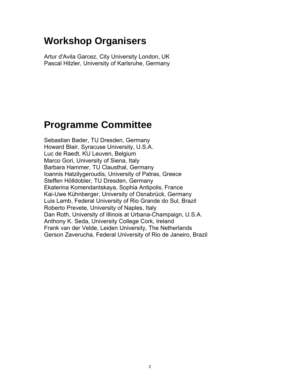### **Workshop Organisers**

Artur d'Avila Garcez, City University London, UK Pascal Hitzler, University of Karlsruhe, Germany

### **Programme Committee**

Sebastian Bader, TU Dresden, Germany Howard Blair, Syracuse University, U.S.A. Luc de Raedt, KU Leuven, Belgium Marco Gori, University of Siena, Italy Barbara Hammer, TU Clausthal, Germany Ioannis Hatzilygeroudis, University of Patras, Greece Steffen Hölldobler, TU Dresden, Germany Ekaterina Komendantskaya, Sophia Antipolis, France Kai-Uwe Kühnberger, University of Osnabrück, Germany Luis Lamb, Federal University of Rio Grande do Sul, Brazil Roberto Prevete, University of Naples, Italy Dan Roth, University of Illinois at Urbana-Champaign, U.S.A. Anthony K. Seda, University College Cork, Ireland Frank van der Velde, Leiden University, The Netherlands Gerson Zaverucha, Federal University of Rio de Janeiro, Brazil